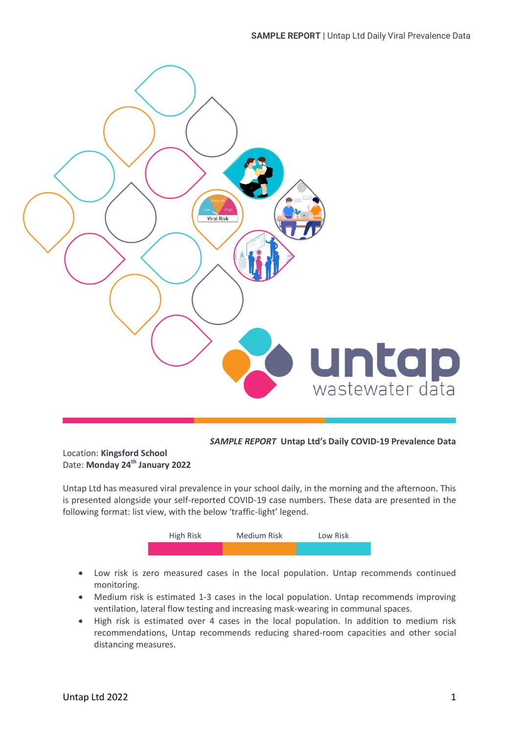

*SAMPLE REPORT* **Untap Ltd's Daily COVID-19 Prevalence Data**

Location: **Kingsford School** Date: **Monday 24 th January 2022**

Untap Ltd has measured viral prevalence in your school daily, in the morning and the afternoon. This is presented alongside your self-reported COVID-19 case numbers. These data are presented in the following format: list view, with the below 'traffic-light' legend.



- Low risk is zero measured cases in the local population. Untap recommends continued monitoring.
- Medium risk is estimated 1-3 cases in the local population. Untap recommends improving ventilation, lateral flow testing and increasing mask-wearing in communal spaces.
- High risk is estimated over 4 cases in the local population. In addition to medium risk recommendations, Untap recommends reducing shared-room capacities and other social distancing measures.